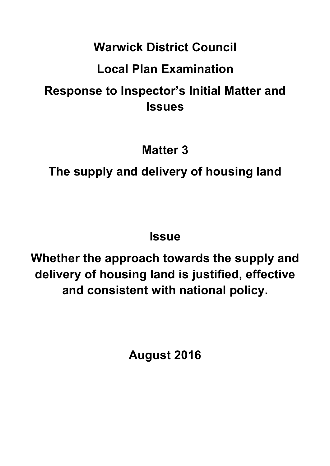## **Warwick District Council**

## **Local Plan Examination**

# **Response to Inspector's Initial Matter and Issues**

**Matter 3**

# **The supply and delivery of housing land**

**Issue** 

**Whether the approach towards the supply and delivery of housing land is justified, effective and consistent with national policy.**

**August 2016**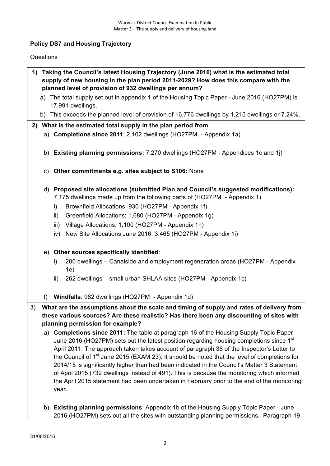## **Policy DS7 and Housing Trajectory**

### Questions

- **1) Taking the Council's latest Housing Trajectory (June 2016) what is the estimated total supply of new housing in the plan period 2011-2029? How does this compare with the planned level of provision of 932 dwellings per annum?**
	- a) The total supply set out in appendix 1 of the Housing Topic Paper June 2016 (HO27PM) is 17,991 dwellings.
	- b) This exceeds the planned level of provision of 16,776 dwellings by 1,215 dwellings or 7.24%.

## **2) What is the estimated total supply in the plan period from**

- a) **Completions since 2011**: 2,102 dwellings (HO27PM Appendix 1a)
- b) **Existing planning permissions:** 7,270 dwellings (HO27PM Appendices 1c and 1j)
- c) **Other commitments e.g. sites subject to S106:** None
- d) **Proposed site allocations (submitted Plan and Council's suggested modifications):**
	- 7,175 dwellings made up from the following parts of (HO27PM Appendix 1)
	- i) Brownfield Allocations: 930 (HO27PM Appendix 1f)
	- ii) Greenfield Allocations: 1,680 (HO27PM Appendix 1g)
	- iii) Village Allocations: 1,100 (HO27PM Appendix 1h)
	- iv) New Site Allocations June 2016: 3,465 (HO27PM Appendix 1i)
- e) **Other sources specifically identified**:
	- i) 200 dwellings Canalside and employment regeneration areas (HO27PM Appendix 1e)
	- ii) 262 dwellings small urban SHLAA sites (HO27PM Appendix 1c)
- f) **Windfalls**: 982 dwellings (HO27PM Appendix 1d)
- 3) **What are the assumptions about the scale and timing of supply and rates of delivery from these various sources? Are these realistic? Has there been any discounting of sites with planning permission for example?**
	- a) **Completions since 2011:** The table at paragraph 16 of the Housing Supply Topic Paper June 2016 (HO27PM) sets out the latest position regarding housing completions since  $1<sup>st</sup>$ April 2011. The approach taken takes account of paragraph 38 of the Inspector's Letter to the Council of 1<sup>st</sup> June 2015 (EXAM 23). It should be noted that the level of completions for 2014/15 is significantly higher than had been indicated in the Council's Matter 3 Statement of April 2015 (732 dwellings instead of 491). This is because the monitoring which informed the April 2015 statement had been undertaken in February prior to the end of the monitoring year.
	- b) **Existing planning permissions**: Appendix 1b of the Housing Supply Topic Paper June 2016 (HO27PM) sets out all the sites with outstanding planning permissions. Paragraph 19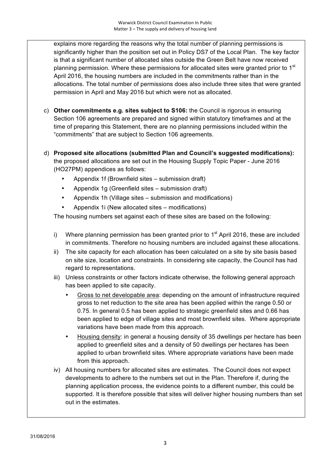explains more regarding the reasons why the total number of planning permissions is significantly higher than the position set out in Policy DS7 of the Local Plan. The key factor is that a significant number of allocated sites outside the Green Belt have now received planning permission. Where these permissions for allocated sites were granted prior to 1<sup>st</sup> April 2016, the housing numbers are included in the commitments rather than in the allocations. The total number of permissions does also include three sites that were granted permission in April and May 2016 but which were not as allocated.

- c) **Other commitments e.g. sites subject to S106:** the Council is rigorous in ensuring Section 106 agreements are prepared and signed within statutory timeframes and at the time of preparing this Statement, there are no planning permissions included within the "commitments" that are subject to Section 106 agreements.
- d) **Proposed site allocations (submitted Plan and Council's suggested modifications):** the proposed allocations are set out in the Housing Supply Topic Paper - June 2016 (HO27PM) appendices as follows:
	- Appendix 1f (Brownfield sites submission draft)
	- Appendix 1g (Greenfield sites submission draft)
	- Appendix 1h (Village sites submission and modifications)
	- Appendix 1i (New allocated sites modifications)

The housing numbers set against each of these sites are based on the following:

- i) Where planning permission has been granted prior to  $1<sup>st</sup>$  April 2016, these are included in commitments. Therefore no housing numbers are included against these allocations.
- ii) The site capacity for each allocation has been calculated on a site by site basis based on site size, location and constraints. In considering site capacity, the Council has had regard to representations.
- iii) Unless constraints or other factors indicate otherwise, the following general approach has been applied to site capacity.
	- Gross to net developable area: depending on the amount of infrastructure required gross to net reduction to the site area has been applied within the range 0.50 or 0.75. In general 0.5 has been applied to strategic greenfield sites and 0.66 has been applied to edge of village sites and most brownfield sites. Where appropriate variations have been made from this approach.
	- Housing density: in general a housing density of 35 dwellings per hectare has been applied to greenfield sites and a density of 50 dwellings per hectares has been applied to urban brownfield sites. Where appropriate variations have been made from this approach.
- iv) All housing numbers for allocated sites are estimates. The Council does not expect developments to adhere to the numbers set out in the Plan. Therefore if, during the planning application process, the evidence points to a different number, this could be supported. It is therefore possible that sites will deliver higher housing numbers than set out in the estimates.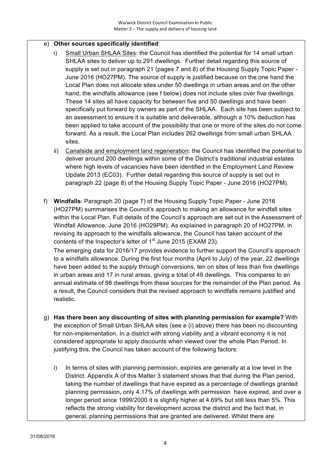## e) **Other sources specifically identified**:

- i) Small Urban SHLAA Sites: the Council has identified the potential for 14 small urban SHLAA sites to deliver up to 291 dwellings. Further detail regarding this source of supply is set out in paragraph 21 (pages 7 and 8) of the Housing Supply Topic Paper - June 2016 (HO27PM). The source of supply is justified because on the one hand the Local Plan does not allocate sites under 50 dwellings in urban areas and on the other hand, the windfalls allowance (see f below) does not include sites over five dwellings. These 14 sites all have capacity for between five and 50 dwellings and have been specifically put forward by owners as part of the SHLAA. Each site has been subject to an assessment to ensure it is suitable and deliverable, although a 10% deduction has been applied to take account of the possibility that one or more of the sites do not come forward. As a result, the Local Plan includes 262 dwellings from small urban SHLAA sites.
- ii) Canalside and employment land regeneration: the Council has identified the potential to deliver around 200 dwellings within some of the District's traditional industrial estates where high levels of vacancies have been identified in the Employment Land Review Update 2013 (EC03). Further detail regarding this source of supply is set out in paragraph 22 (page 8) of the Housing Supply Topic Paper - June 2016 (HO27PM).
- f) **Windfalls**: Paragraph 20 (page 7) of the Housing Supply Topic Paper June 2016 (HO27PM) summarises the Council's approach to making an allowance for windfall sites within the Local Plan. Full details of the Council's approach are set out in the Assessment of Windfall Allowance, June 2016 (HO29PM). As explained in paragraph 20 of HO27PM, in revising its approach to the windfalls allowance, the Council has taken account of the contents of the Inspector's letter of  $1<sup>st</sup>$  June 2015 (EXAM 23).

The emerging data for 2016/17 provides evidence to further support the Council's approach to a windfalls allowance. During the first four months (April to July) of the year, 22 dwellings have been added to the supply through conversions, ten on sites of less than five dwellings in urban areas and 17 in rural areas, giving a total of 49 dwellings. This compares to an annual estimate of 98 dwellings from these sources for the remainder of the Plan period. As a result, the Council considers that the revised approach to windfalls remains justified and realistic.

- g) **Has there been any discounting of sites with planning permission for example?** With the exception of Small Urban SHLAA sites (see e (i) above) there has been no discounting for non-implementation. In a district with strong viability and a vibrant economy it is not considered appropriate to apply discounts when viewed over the whole Plan Period. In justifying this, the Council has taken account of the following factors:
	- i) In terms of sites with planning permission, expiries are generally at a low level in the District. Appendix A of this Matter 3 statement shows that that during the Plan period, taking the number of dwellings that have expired as a percentage of dwellings granted planning permission, only 4.17% of dwellings with permission have expired, and over a longer period since 1999/2000 it is slightly higher at 4.69% but still less than 5%. This reflects the strong viability for development across the district and the fact that, in general, planning permissions that are granted are delivered. Whilst there are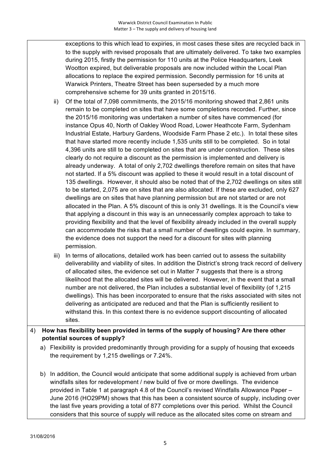exceptions to this which lead to expiries, in most cases these sites are recycled back in to the supply with revised proposals that are ultimately delivered. To take two examples during 2015, firstly the permission for 110 units at the Police Headquarters, Leek Wootton expired, but deliverable proposals are now included within the Local Plan allocations to replace the expired permission. Secondly permission for 16 units at Warwick Printers, Theatre Street has been superseded by a much more comprehensive scheme for 39 units granted in 2015/16.

- ii) Of the total of 7,098 commitments, the 2015/16 monitoring showed that 2,861 units remain to be completed on sites that have some completions recorded. Further, since the 2015/16 monitoring was undertaken a number of sites have commenced (for instance Opus 40, North of Oakley Wood Road, Lower Heathcote Farm, Sydenham Industrial Estate, Harbury Gardens, Woodside Farm Phase 2 etc.). In total these sites that have started more recently include 1,535 units still to be completed. So in total 4,396 units are still to be completed on sites that are under construction. These sites clearly do not require a discount as the permission is implemented and delivery is already underway. A total of only 2,702 dwellings therefore remain on sites that have not started. If a 5% discount was applied to these it would result in a total discount of 135 dwellings. However, it should also be noted that of the 2,702 dwellings on sites still to be started, 2,075 are on sites that are also allocated. If these are excluded, only 627 dwellings are on sites that have planning permission but are not started or are not allocated in the Plan. A 5% discount of this is only 31 dwellings. It is the Council's view that applying a discount in this way is an unnecessarily complex approach to take to providing flexibility and that the level of flexibility already included in the overall supply can accommodate the risks that a small number of dwellings could expire. In summary, the evidence does not support the need for a discount for sites with planning permission.
- iii) In terms of allocations, detailed work has been carried out to assess the suitability deliverability and viability of sites. In addition the District's strong track record of delivery of allocated sites, the evidence set out in Matter 7 suggests that there is a strong likelihood that the allocated sites will be delivered. However, in the event that a small number are not delivered, the Plan includes a substantial level of flexibility (of 1,215 dwellings). This has been incorporated to ensure that the risks associated with sites not delivering as anticipated are reduced and that the Plan is sufficiently resilient to withstand this. In this context there is no evidence support discounting of allocated sites.
- 4) **How has flexibility been provided in terms of the supply of housing? Are there other potential sources of supply?**
	- a) Flexibility is provided predominantly through providing for a supply of housing that exceeds the requirement by 1,215 dwellings or 7.24%.
	- b) In addition, the Council would anticipate that some additional supply is achieved from urban windfalls sites for redevelopment / new build of five or more dwellings. The evidence provided in Table 1 at paragraph 4.8 of the Council's revised Windfalls Allowance Paper – June 2016 (HO29PM) shows that this has been a consistent source of supply, including over the last five years providing a total of 877 completions over this period. Whilst the Council considers that this source of supply will reduce as the allocated sites come on stream and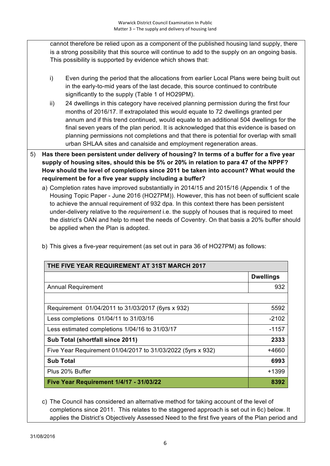cannot therefore be relied upon as a component of the published housing land supply, there is a strong possibility that this source will continue to add to the supply on an ongoing basis. This possibility is supported by evidence which shows that:

- i) Even during the period that the allocations from earlier Local Plans were being built out in the early-to-mid years of the last decade, this source continued to contribute significantly to the supply (Table 1 of HO29PM).
- ii) 24 dwellings in this category have received planning permission during the first four months of 2016/17. If extrapolated this would equate to 72 dwellings granted per annum and if this trend continued, would equate to an additional 504 dwellings for the final seven years of the plan period. It is acknowledged that this evidence is based on planning permissions not completions and that there is potential for overlap with small urban SHLAA sites and canalside and employment regeneration areas.
- 5) **Has there been persistent under delivery of housing? In terms of a buffer for a five year supply of housing sites, should this be 5% or 20% in relation to para 47 of the NPPF? How should the level of completions since 2011 be taken into account? What would the requirement be for a five year supply including a buffer?** 
	- a) Completion rates have improved substantially in 2014/15 and 2015/16 (Appendix 1 of the Housing Topic Paper - June 2016 (HO27PM)). However, this has not been of sufficient scale to achieve the annual requirement of 932 dpa. In this context there has been persistent under-delivery relative to the *requirement* i.e. the supply of houses that is required to meet the district's OAN and help to meet the needs of Coventry. On that basis a 20% buffer should be applied when the Plan is adopted.

| THE FIVE YEAR REQUIREMENT AT 31ST MARCH 2017                |                  |  |
|-------------------------------------------------------------|------------------|--|
|                                                             | <b>Dwellings</b> |  |
| <b>Annual Requirement</b>                                   | 932              |  |
|                                                             |                  |  |
| Requirement 01/04/2011 to 31/03/2017 (6yrs x 932)           | 5592             |  |
| Less completions 01/04/11 to 31/03/16                       | $-2102$          |  |
| Less estimated completions 1/04/16 to 31/03/17              | $-1157$          |  |
| Sub Total (shortfall since 2011)                            | 2333             |  |
| Five Year Requirement 01/04/2017 to 31/03/2022 (5yrs x 932) | +4660            |  |
| <b>Sub Total</b>                                            | 6993             |  |
| Plus 20% Buffer                                             | +1399            |  |
| <b>Five Year Requirement 1/4/17 - 31/03/22</b>              | 8392             |  |

b) This gives a five-year requirement (as set out in para 36 of HO27PM) as follows:

c) The Council has considered an alternative method for taking account of the level of completions since 2011. This relates to the staggered approach is set out in 6c) below. It applies the District's Objectively Assessed Need to the first five years of the Plan period and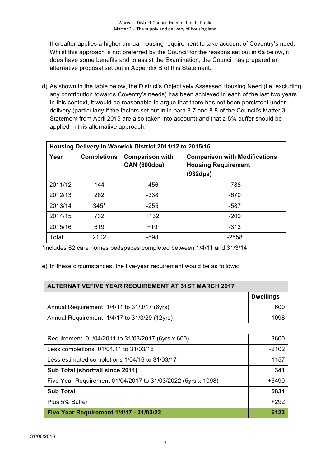thereafter applies a higher annual housing requirement to take account of Coventry's need. Whilst this approach is not preferred by the Council for the reasons set out in 6a below, it does have some benefits and to assist the Examination, the Council has prepared an alternative proposal set out in Appendix B of this Statement.

d) As shown in the table below, the District's Objectively Assessed Housing Need (i.e. excluding any contribution towards Coventry's needs) has been achieved in each of the last two years. In this context, it would be reasonable to argue that there has not been persistent under delivery (particularly if the factors set out in in para 8.7.and 8.8 of the Council's Matter 3 Statement from April 2015 are also taken into account) and that a 5% buffer should be applied in this alternative approach.

| Housing Delivery in Warwick District 2011/12 to 2015/16 |                    |                                        |                                                                                |
|---------------------------------------------------------|--------------------|----------------------------------------|--------------------------------------------------------------------------------|
| Year                                                    | <b>Completions</b> | <b>Comparison with</b><br>OAN (600dpa) | <b>Comparison with Modifications</b><br><b>Housing Requirement</b><br>(932dpa) |
| 2011/12                                                 | 144                | -456                                   | $-788$                                                                         |
| 2012/13                                                 | 262                | $-338$                                 | $-670$                                                                         |
| 2013/14                                                 | $345*$             | $-255$                                 | -587                                                                           |
| 2014/15                                                 | 732                | $+132$                                 | $-200$                                                                         |
| 2015/16                                                 | 619                | $+19$                                  | $-313$                                                                         |
| Total                                                   | 2102               | $-898$                                 | $-2558$                                                                        |

\*includes 62 care homes bedspaces completed between 1/4/11 and 31/3/14

e) In these circumstances, the five-year requirement would be as follows:

| <b>ALTERNATIVEFIVE YEAR REQUIREMENT AT 31ST MARCH 2017</b>   |                  |  |
|--------------------------------------------------------------|------------------|--|
|                                                              | <b>Dwellings</b> |  |
| Annual Requirement 1/4/11 to 31/3/17 (6yrs)                  | 600              |  |
| Annual Requirement 1/4/17 to 31/3/29 (12yrs)                 | 1098             |  |
|                                                              |                  |  |
| Requirement 01/04/2011 to 31/03/2017 (6yrs x 600)            | 3600             |  |
| Less completions 01/04/11 to 31/03/16                        | $-2102$          |  |
| Less estimated completions 1/04/16 to 31/03/17               | $-1157$          |  |
| Sub Total (shortfall since 2011)                             | 341              |  |
| Five Year Requirement 01/04/2017 to 31/03/2022 (5yrs x 1098) | +5490            |  |
| <b>Sub Total</b>                                             | 5831             |  |
| Plus 5% Buffer                                               | $+292$           |  |
| <b>Five Year Requirement 1/4/17 - 31/03/22</b>               | 6123             |  |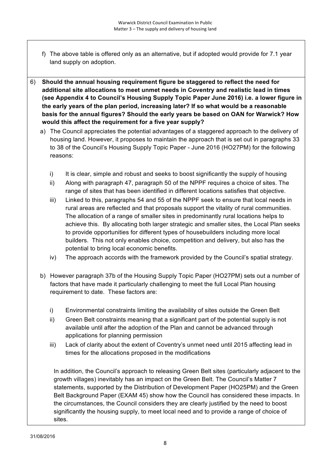- f) The above table is offered only as an alternative, but if adopted would provide for 7.1 year land supply on adoption.
- 6) **Should the annual housing requirement figure be staggered to reflect the need for additional site allocations to meet unmet needs in Coventry and realistic lead in times (see Appendix 4 to Council's Housing Supply Topic Paper June 2016) i.e. a lower figure in the early years of the plan period, increasing later? If so what would be a reasonable basis for the annual figures? Should the early years be based on OAN for Warwick? How would this affect the requirement for a five year supply?**
	- a) The Council appreciates the potential advantages of a staggered approach to the delivery of housing land. However, it proposes to maintain the approach that is set out in paragraphs 33 to 38 of the Council's Housing Supply Topic Paper - June 2016 (HO27PM) for the following reasons:
		- i) It is clear, simple and robust and seeks to boost significantly the supply of housing
		- ii) Along with paragraph 47, paragraph 50 of the NPPF requires a choice of sites. The range of sites that has been identified in different locations satisfies that objective.
		- iii) Linked to this, paragraphs 54 and 55 of the NPPF seek to ensure that local needs in rural areas are reflected and that proposals support the vitality of rural communities. The allocation of a range of smaller sites in predominantly rural locations helps to achieve this. By allocating both larger strategic and smaller sites, the Local Plan seeks to provide opportunities for different types of housebuilders including more local builders. This not only enables choice, competition and delivery, but also has the potential to bring local economic benefits.
		- iv) The approach accords with the framework provided by the Council's spatial strategy.
	- b) However paragraph 37b of the Housing Supply Topic Paper (HO27PM) sets out a number of factors that have made it particularly challenging to meet the full Local Plan housing requirement to date. These factors are:
		- i) Environmental constraints limiting the availability of sites outside the Green Belt
		- ii) Green Belt constraints meaning that a significant part of the potential supply is not available until after the adoption of the Plan and cannot be advanced through applications for planning permission
		- iii) Lack of clarity about the extent of Coventry's unmet need until 2015 affecting lead in times for the allocations proposed in the modifications

In addition, the Council's approach to releasing Green Belt sites (particularly adjacent to the growth villages) inevitably has an impact on the Green Belt. The Council's Matter 7 statements, supported by the Distribution of Development Paper (HO25PM) and the Green Belt Background Paper (EXAM 45) show how the Council has considered these impacts. In the circumstances, the Council considers they are clearly justified by the need to boost significantly the housing supply, to meet local need and to provide a range of choice of sites.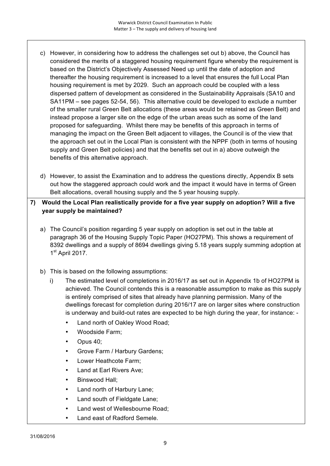- c) However, in considering how to address the challenges set out b) above, the Council has considered the merits of a staggered housing requirement figure whereby the requirement is based on the District's Objectively Assessed Need up until the date of adoption and thereafter the housing requirement is increased to a level that ensures the full Local Plan housing requirement is met by 2029. Such an approach could be coupled with a less dispersed pattern of development as considered in the Sustainability Appraisals (SA10 and SA11PM – see pages 52-54, 56). This alternative could be developed to exclude a number of the smaller rural Green Belt allocations (these areas would be retained as Green Belt) and instead propose a larger site on the edge of the urban areas such as some of the land proposed for safeguarding. Whilst there may be benefits of this approach in terms of managing the impact on the Green Belt adjacent to villages, the Council is of the view that the approach set out in the Local Plan is consistent with the NPPF (both in terms of housing supply and Green Belt policies) and that the benefits set out in a) above outweigh the benefits of this alternative approach.
- d) However, to assist the Examination and to address the questions directly, Appendix B sets out how the staggered approach could work and the impact it would have in terms of Green Belt allocations, overall housing supply and the 5 year housing supply.

## **7) Would the Local Plan realistically provide for a five year supply on adoption? Will a five year supply be maintained?**

- a) The Council's position regarding 5 year supply on adoption is set out in the table at paragraph 36 of the Housing Supply Topic Paper (HO27PM). This shows a requirement of 8392 dwellings and a supply of 8694 dwellings giving 5.18 years supply summing adoption at  $1<sup>st</sup>$  April 2017.
- b) This is based on the following assumptions:
	- i) The estimated level of completions in 2016/17 as set out in Appendix 1b of HO27PM is achieved. The Council contends this is a reasonable assumption to make as this supply is entirely comprised of sites that already have planning permission. Many of the dwellings forecast for completion during 2016/17 are on larger sites where construction is underway and build-out rates are expected to be high during the year, for instance: -
		- Land north of Oakley Wood Road;
		- Woodside Farm;
		- Opus 40;
		- Grove Farm / Harbury Gardens;
		- Lower Heathcote Farm;
		- Land at Earl Rivers Ave;
		- Binswood Hall;
		- Land north of Harbury Lane;
		- Land south of Fieldgate Lane;
		- Land west of Wellesbourne Road;
		- Land east of Radford Semele.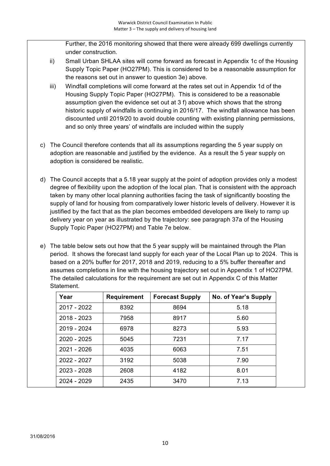Further, the 2016 monitoring showed that there were already 699 dwellings currently under construction.

- ii) Small Urban SHLAA sites will come forward as forecast in Appendix 1c of the Housing Supply Topic Paper (HO27PM). This is considered to be a reasonable assumption for the reasons set out in answer to question 3e) above.
- iii) Windfall completions will come forward at the rates set out in Appendix 1d of the Housing Supply Topic Paper (HO27PM). This is considered to be a reasonable assumption given the evidence set out at 3 f) above which shows that the strong historic supply of windfalls is continuing in 2016/17. The windfall allowance has been discounted until 2019/20 to avoid double counting with existing planning permissions, and so only three years' of windfalls are included within the supply
- c) The Council therefore contends that all its assumptions regarding the 5 year supply on adoption are reasonable and justified by the evidence. As a result the 5 year supply on adoption is considered be realistic.
- d) The Council accepts that a 5.18 year supply at the point of adoption provides only a modest degree of flexibility upon the adoption of the local plan. That is consistent with the approach taken by many other local planning authorities facing the task of significantly boosting the supply of land for housing from comparatively lower historic levels of delivery. However it is justified by the fact that as the plan becomes embedded developers are likely to ramp up delivery year on year as illustrated by the trajectory: see paragraph 37a of the Housing Supply Topic Paper (HO27PM) and Table 7e below.
- e) The table below sets out how that the 5 year supply will be maintained through the Plan period. It shows the forecast land supply for each year of the Local Plan up to 2024. This is based on a 20% buffer for 2017, 2018 and 2019, reducing to a 5% buffer thereafter and assumes completions in line with the housing trajectory set out in Appendix 1 of HO27PM. The detailed calculations for the requirement are set out in Appendix C of this Matter Statement.

| Year        | <b>Requirement</b> | <b>Forecast Supply</b> | No. of Year's Supply |
|-------------|--------------------|------------------------|----------------------|
| 2017 - 2022 | 8392               | 8694                   | 5.18                 |
| 2018 - 2023 | 7958               | 8917                   | 5.60                 |
| 2019 - 2024 | 6978               | 8273                   | 5.93                 |
| 2020 - 2025 | 5045               | 7231                   | 7.17                 |
| 2021 - 2026 | 4035               | 6063                   | 7.51                 |
| 2022 - 2027 | 3192               | 5038                   | 7.90                 |
| 2023 - 2028 | 2608               | 4182                   | 8.01                 |
| 2024 - 2029 | 2435               | 3470                   | 7.13                 |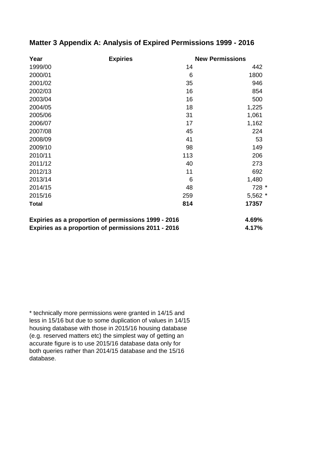| <b>Expiries</b><br>Year                             |  | <b>New Permissions</b> |          |
|-----------------------------------------------------|--|------------------------|----------|
| 1999/00                                             |  | 14                     | 442      |
| 2000/01                                             |  | 6                      | 1800     |
| 2001/02                                             |  | 35                     | 946      |
| 2002/03                                             |  | 16                     | 854      |
| 2003/04                                             |  | 16                     | 500      |
| 2004/05                                             |  | 18                     | 1,225    |
| 2005/06                                             |  | 31                     | 1,061    |
| 2006/07                                             |  | 17                     | 1,162    |
| 2007/08                                             |  | 45                     | 224      |
| 2008/09                                             |  | 41                     | 53       |
| 2009/10                                             |  | 98                     | 149      |
| 2010/11                                             |  | 113                    | 206      |
| 2011/12                                             |  | 40                     | 273      |
| 2012/13                                             |  | 11                     | 692      |
| 2013/14                                             |  | 6                      | 1,480    |
| 2014/15                                             |  | 48                     | 728 *    |
| 2015/16                                             |  | 259                    | $5,562*$ |
| <b>Total</b>                                        |  | 814                    | 17357    |
| Expiries as a proportion of permissions 1999 - 2016 |  |                        | 4.69%    |
| Expiries as a proportion of permissions 2011 - 2016 |  |                        | 4.17%    |

## **Matter 3 Appendix A: Analysis of Expired Permissions 1999 - 2016**

\* technically more permissions were granted in 14/15 and less in 15/16 but due to some duplication of values in 14/15 housing database with those in 2015/16 housing database (e.g. reserved matters etc) the simplest way of getting an accurate figure is to use 2015/16 database data only for both queries rather than 2014/15 database and the 15/16 database.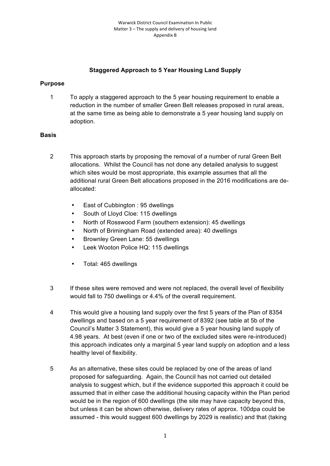## **Staggered Approach to 5 Year Housing Land Supply**

### **Purpose**

1 To apply a staggered approach to the 5 year housing requirement to enable a reduction in the number of smaller Green Belt releases proposed in rural areas, at the same time as being able to demonstrate a 5 year housing land supply on adoption.

### **Basis**

- 2 This approach starts by proposing the removal of a number of rural Green Belt allocations. Whilst the Council has not done any detailed analysis to suggest which sites would be most appropriate, this example assumes that all the additional rural Green Belt allocations proposed in the 2016 modifications are deallocated:
	- East of Cubbington : 95 dwellings
	- South of Lloyd Cloe: 115 dwellings
	- North of Rosswood Farm (southern extension): 45 dwellings
	- North of Brimingham Road (extended area): 40 dwellings
	- Brownley Green Lane: 55 dwellings
	- Leek Wooton Police HQ: 115 dwellings
	- Total: 465 dwellings
- 3 If these sites were removed and were not replaced, the overall level of flexibility would fall to 750 dwellings or 4.4% of the overall requirement.
- 4 This would give a housing land supply over the first 5 years of the Plan of 8354 dwellings and based on a 5 year requirement of 8392 (see table at 5b of the Council's Matter 3 Statement), this would give a 5 year housing land supply of 4.98 years. At best (even if one or two of the excluded sites were re-introduced) this approach indicates only a marginal 5 year land supply on adoption and a less healthy level of flexibility.
- 5 As an alternative, these sites could be replaced by one of the areas of land proposed for safeguarding. Again, the Council has not carried out detailed analysis to suggest which, but if the evidence supported this approach it could be assumed that in either case the additional housing capacity within the Plan period would be in the region of 600 dwellings (the site may have capacity beyond this, but unless it can be shown otherwise, delivery rates of approx. 100dpa could be assumed - this would suggest 600 dwellings by 2029 is realistic) and that (taking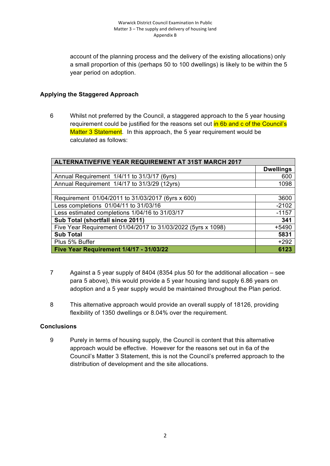account of the planning process and the delivery of the existing allocations) only a small proportion of this (perhaps 50 to 100 dwellings) is likely to be within the 5 year period on adoption.

## **Applying the Staggered Approach**

6 Whilst not preferred by the Council, a staggered approach to the 5 year housing requirement could be justified for the reasons set out in 6b and c of the Council's Matter 3 Statement. In this approach, the 5 year requirement would be calculated as follows:

| ALTERNATIVEFIVE YEAR REQUIREMENT AT 31ST MARCH 2017          |                  |  |
|--------------------------------------------------------------|------------------|--|
|                                                              | <b>Dwellings</b> |  |
| Annual Requirement 1/4/11 to 31/3/17 (6yrs)                  | 600              |  |
| Annual Requirement 1/4/17 to 31/3/29 (12yrs)                 | 1098             |  |
|                                                              |                  |  |
| Requirement 01/04/2011 to 31/03/2017 (6yrs x 600)            | 3600             |  |
| Less completions 01/04/11 to 31/03/16                        | $-2102$          |  |
| Less estimated completions 1/04/16 to 31/03/17               | $-1157$          |  |
| Sub Total (shortfall since 2011)                             | 341              |  |
| Five Year Requirement 01/04/2017 to 31/03/2022 (5yrs x 1098) | $+5490$          |  |
| <b>Sub Total</b>                                             | 5831             |  |
| Plus 5% Buffer                                               | $+292$           |  |
| <b>Five Year Requirement 1/4/17 - 31/03/22</b>               | 6123             |  |

- 7 Against a 5 year supply of 8404 (8354 plus 50 for the additional allocation see para 5 above), this would provide a 5 year housing land supply 6.86 years on adoption and a 5 year supply would be maintained throughout the Plan period.
- 8 This alternative approach would provide an overall supply of 18126, providing flexibility of 1350 dwellings or 8.04% over the requirement.

### **Conclusions**

9 Purely in terms of housing supply, the Council is content that this alternative approach would be effective. However for the reasons set out in 6a of the Council's Matter 3 Statement, this is not the Council's preferred approach to the distribution of development and the site allocations.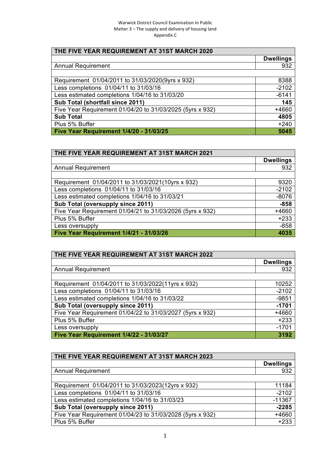#### Warwick District Council Examination In Public Matter  $3$  – The supply and delivery of housing land Appendix C

| THE FIVE YEAR REQUIREMENT AT 31ST MARCH 2020              |                  |  |
|-----------------------------------------------------------|------------------|--|
|                                                           | <b>Dwellings</b> |  |
| <b>Annual Requirement</b>                                 | 932              |  |
|                                                           |                  |  |
| Requirement 01/04/2011 to 31/03/2020(9yrs x 932)          | 8388             |  |
| Less completions 01/04/11 to 31/03/16                     | $-2102$          |  |
| Less estimated completions 1/04/16 to 31/03/20            | $-6141$          |  |
| Sub Total (shortfall since 2011)                          | 145              |  |
| Five Year Requirement 01/04/20 to 31/03/2025 (5yrs x 932) | +4660            |  |
| <b>Sub Total</b>                                          | 4805             |  |
| Plus 5% Buffer                                            | $+240$           |  |
| Five Year Requirement 1/4/20 - 31/03/25                   | 5045             |  |

| THE FIVE YEAR REQUIREMENT AT 31ST MARCH 2021              |                  |  |
|-----------------------------------------------------------|------------------|--|
|                                                           | <b>Dwellings</b> |  |
| <b>Annual Requirement</b>                                 | 932              |  |
|                                                           |                  |  |
| Requirement 01/04/2011 to 31/03/2021(10yrs x 932)         | 9320             |  |
| Less completions 01/04/11 to 31/03/16                     | $-2102$          |  |
| Less estimated completions 1/04/16 to 31/03/21            | $-8076$          |  |
| Sub Total (oversupply since 2011)                         | $-858$           |  |
| Five Year Requirement 01/04/21 to 31/03/2026 (5yrs x 932) | +4660            |  |
| Plus 5% Buffer                                            | $+233$           |  |
| Less oversupply                                           | $-858$           |  |
| Five Year Requirement 1/4/21 - 31/03/26                   | 4035             |  |

| THE FIVE YEAR REQUIREMENT AT 31ST MARCH 2022              |                  |  |
|-----------------------------------------------------------|------------------|--|
|                                                           | <b>Dwellings</b> |  |
| <b>Annual Requirement</b>                                 | 932              |  |
|                                                           |                  |  |
| Requirement 01/04/2011 to 31/03/2022(11yrs x 932)         | 10252            |  |
| Less completions 01/04/11 to 31/03/16                     | $-2102$          |  |
| Less estimated completions 1/04/16 to 31/03/22            | $-9851$          |  |
| Sub Total (oversupply since 2011)                         | $-1701$          |  |
| Five Year Requirement 01/04/22 to 31/03/2027 (5yrs x 932) | +4660            |  |
| Plus 5% Buffer                                            | $+233$           |  |
| Less oversupply                                           | $-1701$          |  |
| Five Year Requirement 1/4/22 - 31/03/27                   | 3192             |  |

| THE FIVE YEAR REQUIREMENT AT 31ST MARCH 2023              |                  |  |
|-----------------------------------------------------------|------------------|--|
|                                                           | <b>Dwellings</b> |  |
| <b>Annual Requirement</b>                                 | 932              |  |
|                                                           |                  |  |
| Requirement 01/04/2011 to 31/03/2023(12yrs x 932)         | 11184            |  |
| Less completions 01/04/11 to 31/03/16                     | $-2102$          |  |
| Less estimated completions 1/04/16 to 31/03/23            | $-11367$         |  |
| Sub Total (oversupply since 2011)                         | $-2285$          |  |
| Five Year Requirement 01/04/23 to 31/03/2028 (5yrs x 932) | +4660            |  |
| Plus 5% Buffer                                            | $+233$           |  |